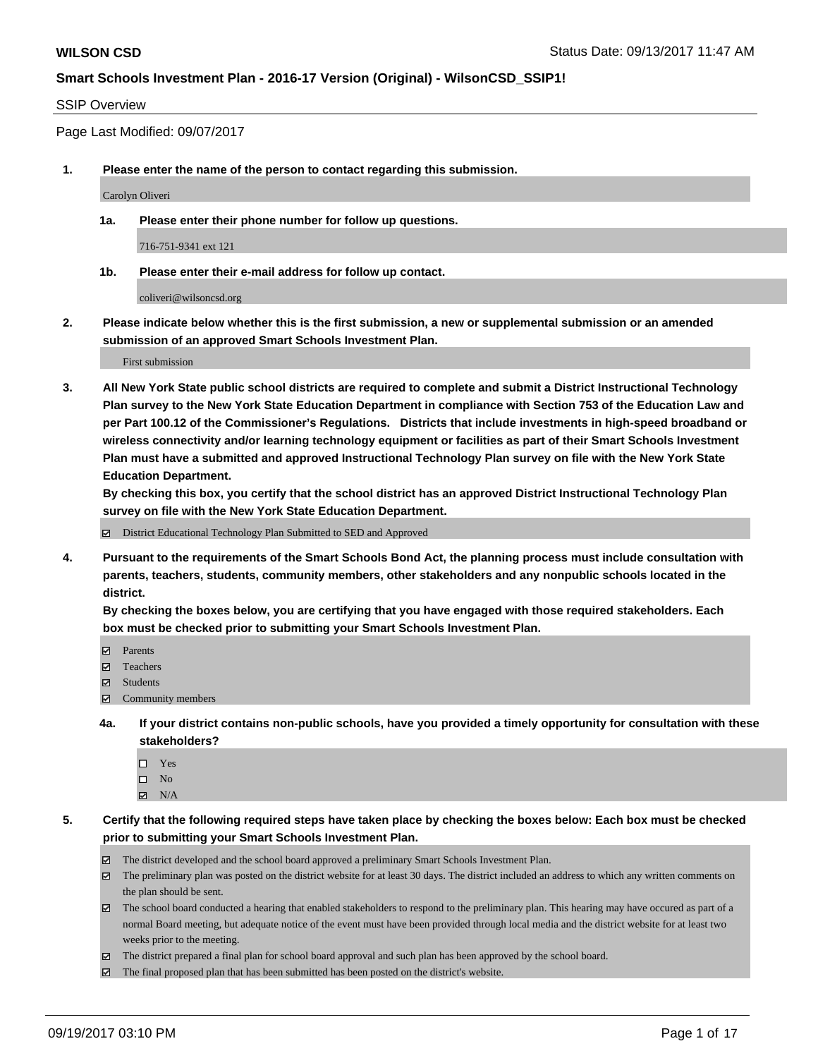#### SSIP Overview

Page Last Modified: 09/07/2017

**1. Please enter the name of the person to contact regarding this submission.**

Carolyn Oliveri

**1a. Please enter their phone number for follow up questions.**

716-751-9341 ext 121

**1b. Please enter their e-mail address for follow up contact.**

coliveri@wilsoncsd.org

**2. Please indicate below whether this is the first submission, a new or supplemental submission or an amended submission of an approved Smart Schools Investment Plan.**

First submission

**3. All New York State public school districts are required to complete and submit a District Instructional Technology Plan survey to the New York State Education Department in compliance with Section 753 of the Education Law and per Part 100.12 of the Commissioner's Regulations. Districts that include investments in high-speed broadband or wireless connectivity and/or learning technology equipment or facilities as part of their Smart Schools Investment Plan must have a submitted and approved Instructional Technology Plan survey on file with the New York State Education Department.** 

**By checking this box, you certify that the school district has an approved District Instructional Technology Plan survey on file with the New York State Education Department.**

District Educational Technology Plan Submitted to SED and Approved

**4. Pursuant to the requirements of the Smart Schools Bond Act, the planning process must include consultation with parents, teachers, students, community members, other stakeholders and any nonpublic schools located in the district.** 

**By checking the boxes below, you are certifying that you have engaged with those required stakeholders. Each box must be checked prior to submitting your Smart Schools Investment Plan.**

- **マ** Parents
- Teachers
- **☑** Students
- $\Xi$  Community members
- **4a. If your district contains non-public schools, have you provided a timely opportunity for consultation with these stakeholders?**
	- □ Yes
	- $\square$  No
	- $\boxtimes$  N/A

**5. Certify that the following required steps have taken place by checking the boxes below: Each box must be checked prior to submitting your Smart Schools Investment Plan.**

- The district developed and the school board approved a preliminary Smart Schools Investment Plan.
- The preliminary plan was posted on the district website for at least 30 days. The district included an address to which any written comments on the plan should be sent.
- The school board conducted a hearing that enabled stakeholders to respond to the preliminary plan. This hearing may have occured as part of a normal Board meeting, but adequate notice of the event must have been provided through local media and the district website for at least two weeks prior to the meeting.
- The district prepared a final plan for school board approval and such plan has been approved by the school board.
- $\boxtimes$  The final proposed plan that has been submitted has been posted on the district's website.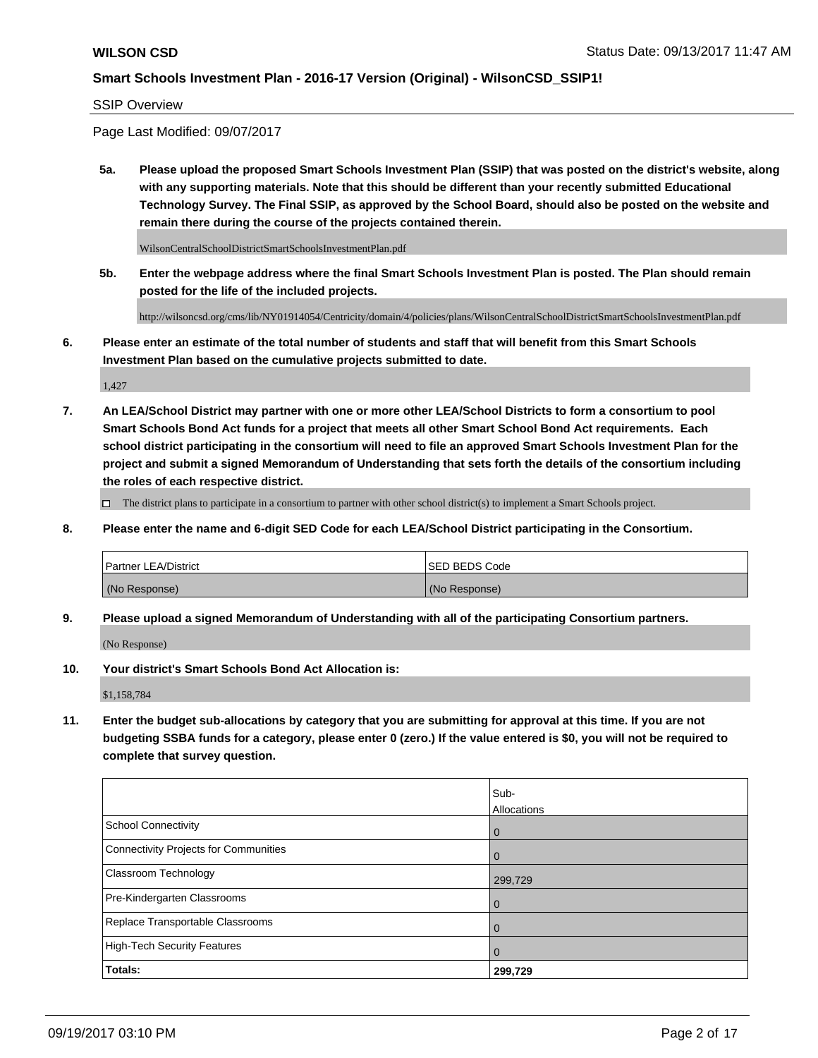#### SSIP Overview

Page Last Modified: 09/07/2017

**5a. Please upload the proposed Smart Schools Investment Plan (SSIP) that was posted on the district's website, along with any supporting materials. Note that this should be different than your recently submitted Educational Technology Survey. The Final SSIP, as approved by the School Board, should also be posted on the website and remain there during the course of the projects contained therein.**

WilsonCentralSchoolDistrictSmartSchoolsInvestmentPlan.pdf

**5b. Enter the webpage address where the final Smart Schools Investment Plan is posted. The Plan should remain posted for the life of the included projects.**

http://wilsoncsd.org/cms/lib/NY01914054/Centricity/domain/4/policies/plans/WilsonCentralSchoolDistrictSmartSchoolsInvestmentPlan.pdf

**6. Please enter an estimate of the total number of students and staff that will benefit from this Smart Schools Investment Plan based on the cumulative projects submitted to date.**

1,427

**7. An LEA/School District may partner with one or more other LEA/School Districts to form a consortium to pool Smart Schools Bond Act funds for a project that meets all other Smart School Bond Act requirements. Each school district participating in the consortium will need to file an approved Smart Schools Investment Plan for the project and submit a signed Memorandum of Understanding that sets forth the details of the consortium including the roles of each respective district.**

 $\Box$  The district plans to participate in a consortium to partner with other school district(s) to implement a Smart Schools project.

**8. Please enter the name and 6-digit SED Code for each LEA/School District participating in the Consortium.**

| <b>Partner LEA/District</b> | <b>ISED BEDS Code</b> |
|-----------------------------|-----------------------|
| (No Response)               | (No Response)         |

**9. Please upload a signed Memorandum of Understanding with all of the participating Consortium partners.**

(No Response)

**10. Your district's Smart Schools Bond Act Allocation is:**

\$1,158,784

**11. Enter the budget sub-allocations by category that you are submitting for approval at this time. If you are not budgeting SSBA funds for a category, please enter 0 (zero.) If the value entered is \$0, you will not be required to complete that survey question.**

|                                       | Sub-        |
|---------------------------------------|-------------|
|                                       | Allocations |
| <b>School Connectivity</b>            | 0           |
| Connectivity Projects for Communities | $\Omega$    |
| <b>Classroom Technology</b>           | 299,729     |
| Pre-Kindergarten Classrooms           | 0           |
| Replace Transportable Classrooms      | O           |
| <b>High-Tech Security Features</b>    | 0           |
| Totals:                               | 299,729     |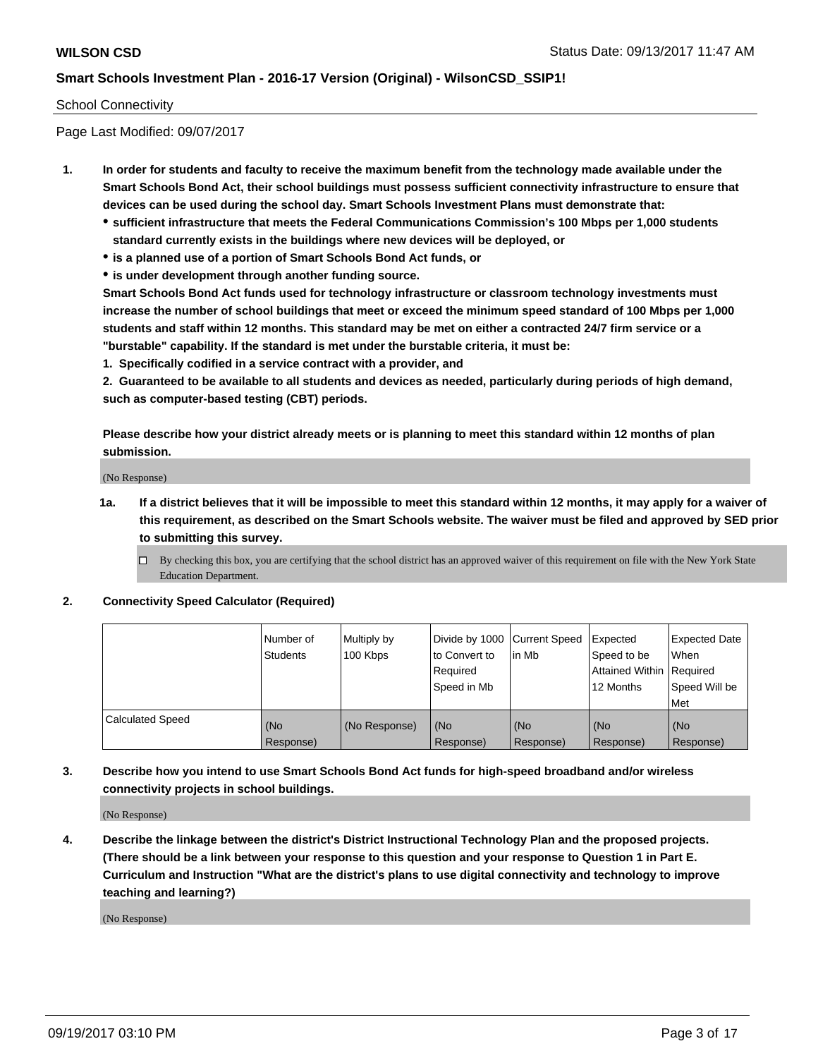#### School Connectivity

Page Last Modified: 09/07/2017

- **1. In order for students and faculty to receive the maximum benefit from the technology made available under the Smart Schools Bond Act, their school buildings must possess sufficient connectivity infrastructure to ensure that devices can be used during the school day. Smart Schools Investment Plans must demonstrate that:**
	- **sufficient infrastructure that meets the Federal Communications Commission's 100 Mbps per 1,000 students standard currently exists in the buildings where new devices will be deployed, or**
	- **is a planned use of a portion of Smart Schools Bond Act funds, or**
	- **is under development through another funding source.**

**Smart Schools Bond Act funds used for technology infrastructure or classroom technology investments must increase the number of school buildings that meet or exceed the minimum speed standard of 100 Mbps per 1,000 students and staff within 12 months. This standard may be met on either a contracted 24/7 firm service or a "burstable" capability. If the standard is met under the burstable criteria, it must be:**

**1. Specifically codified in a service contract with a provider, and**

**2. Guaranteed to be available to all students and devices as needed, particularly during periods of high demand, such as computer-based testing (CBT) periods.**

**Please describe how your district already meets or is planning to meet this standard within 12 months of plan submission.**

(No Response)

**1a. If a district believes that it will be impossible to meet this standard within 12 months, it may apply for a waiver of this requirement, as described on the Smart Schools website. The waiver must be filed and approved by SED prior to submitting this survey.**

**2. Connectivity Speed Calculator (Required)**

|                         | l Number of<br>Students | Multiply by<br>100 Kbps | Divide by 1000 Current Speed<br>to Convert to<br>Required<br>Speed in Mb | lin Mb           | Expected<br>Speed to be<br>Attained Within Required<br>12 Months | <b>Expected Date</b><br>When<br>Speed Will be<br>Met |
|-------------------------|-------------------------|-------------------------|--------------------------------------------------------------------------|------------------|------------------------------------------------------------------|------------------------------------------------------|
| <b>Calculated Speed</b> | (No<br>Response)        | (No Response)           | (No<br>Response)                                                         | (No<br>Response) | (No<br>Response)                                                 | (No<br>Response)                                     |

**3. Describe how you intend to use Smart Schools Bond Act funds for high-speed broadband and/or wireless connectivity projects in school buildings.**

(No Response)

**4. Describe the linkage between the district's District Instructional Technology Plan and the proposed projects. (There should be a link between your response to this question and your response to Question 1 in Part E. Curriculum and Instruction "What are the district's plans to use digital connectivity and technology to improve teaching and learning?)**

(No Response)

 $\Box$  By checking this box, you are certifying that the school district has an approved waiver of this requirement on file with the New York State Education Department.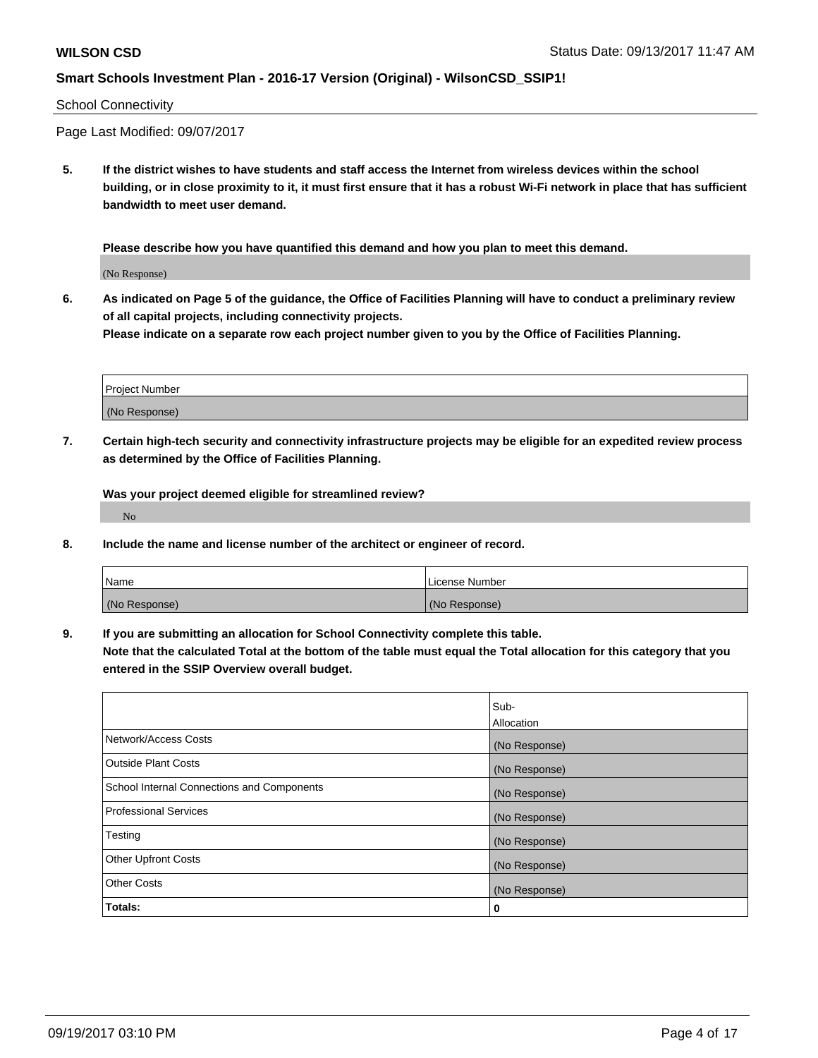#### School Connectivity

Page Last Modified: 09/07/2017

**5. If the district wishes to have students and staff access the Internet from wireless devices within the school building, or in close proximity to it, it must first ensure that it has a robust Wi-Fi network in place that has sufficient bandwidth to meet user demand.**

**Please describe how you have quantified this demand and how you plan to meet this demand.**

(No Response)

**6. As indicated on Page 5 of the guidance, the Office of Facilities Planning will have to conduct a preliminary review of all capital projects, including connectivity projects.**

**Please indicate on a separate row each project number given to you by the Office of Facilities Planning.**

| Project Number |  |
|----------------|--|
|                |  |
|                |  |
|                |  |
|                |  |
| (No Response)  |  |
|                |  |
|                |  |
|                |  |

**7. Certain high-tech security and connectivity infrastructure projects may be eligible for an expedited review process as determined by the Office of Facilities Planning.**

**Was your project deemed eligible for streamlined review?**

No

**8. Include the name and license number of the architect or engineer of record.**

| Name          | License Number |
|---------------|----------------|
| (No Response) | (No Response)  |

**9. If you are submitting an allocation for School Connectivity complete this table.**

**Note that the calculated Total at the bottom of the table must equal the Total allocation for this category that you entered in the SSIP Overview overall budget.** 

|                                            | Sub-          |
|--------------------------------------------|---------------|
|                                            | Allocation    |
| Network/Access Costs                       | (No Response) |
| Outside Plant Costs                        | (No Response) |
| School Internal Connections and Components | (No Response) |
| <b>Professional Services</b>               | (No Response) |
| Testing                                    | (No Response) |
| <b>Other Upfront Costs</b>                 | (No Response) |
| <b>Other Costs</b>                         | (No Response) |
| Totals:                                    | 0             |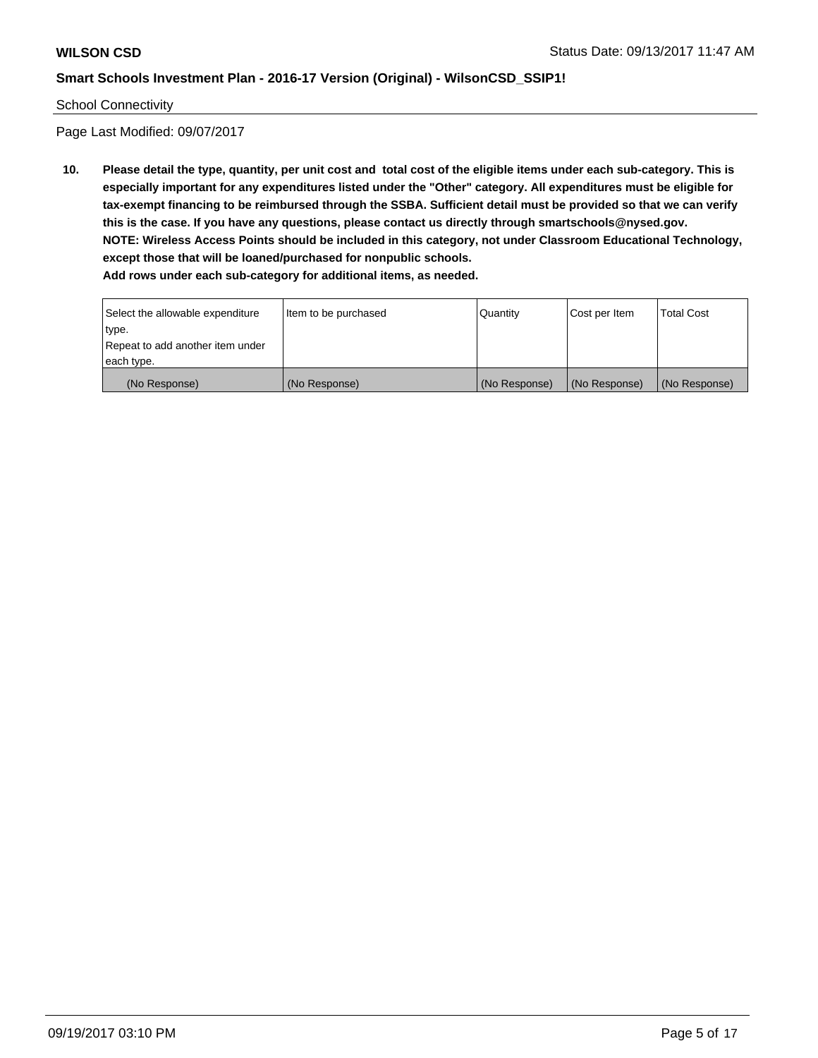#### School Connectivity

Page Last Modified: 09/07/2017

**10. Please detail the type, quantity, per unit cost and total cost of the eligible items under each sub-category. This is especially important for any expenditures listed under the "Other" category. All expenditures must be eligible for tax-exempt financing to be reimbursed through the SSBA. Sufficient detail must be provided so that we can verify this is the case. If you have any questions, please contact us directly through smartschools@nysed.gov. NOTE: Wireless Access Points should be included in this category, not under Classroom Educational Technology, except those that will be loaned/purchased for nonpublic schools. Add rows under each sub-category for additional items, as needed.**

Select the allowable expenditure type. Repeat to add another item under each type. Item to be purchased  $\sqrt{$  Quantity  $\sqrt{}$  Cost per Item  $\sqrt{}$  Total Cost (No Response) (No Response) (No Response) (No Response) (No Response)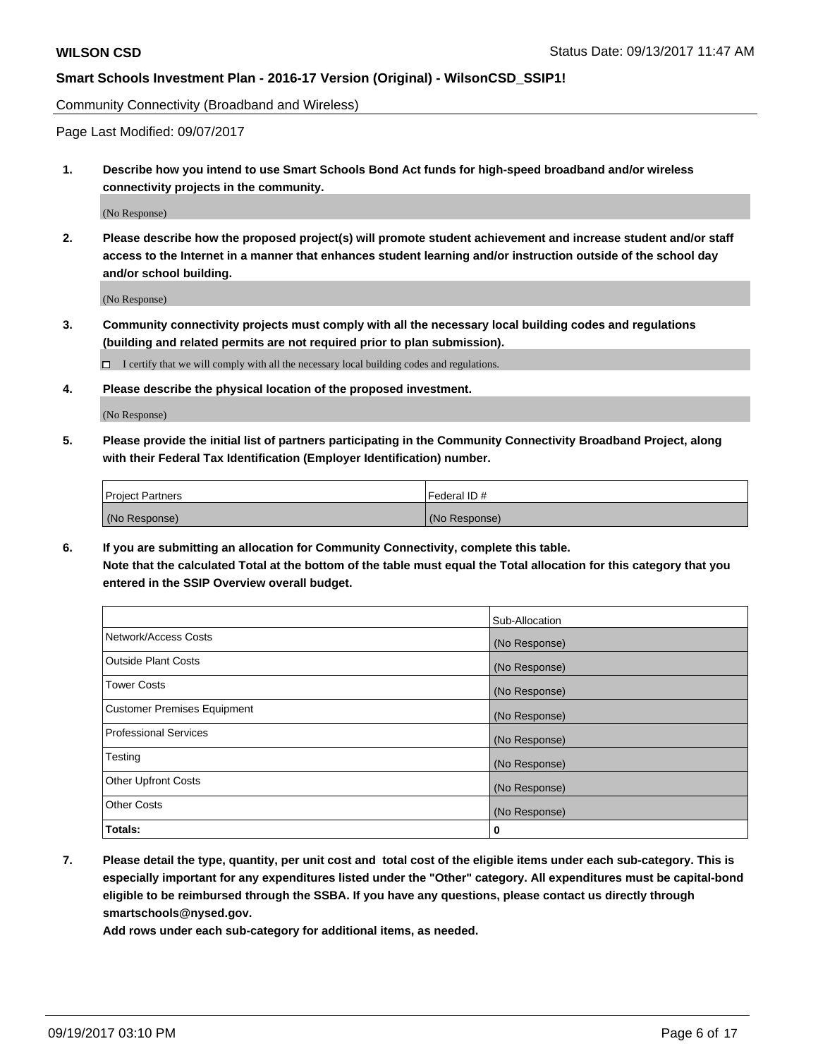Community Connectivity (Broadband and Wireless)

Page Last Modified: 09/07/2017

**1. Describe how you intend to use Smart Schools Bond Act funds for high-speed broadband and/or wireless connectivity projects in the community.**

(No Response)

**2. Please describe how the proposed project(s) will promote student achievement and increase student and/or staff access to the Internet in a manner that enhances student learning and/or instruction outside of the school day and/or school building.**

(No Response)

**3. Community connectivity projects must comply with all the necessary local building codes and regulations (building and related permits are not required prior to plan submission).**

 $\Box$  I certify that we will comply with all the necessary local building codes and regulations.

**4. Please describe the physical location of the proposed investment.**

(No Response)

**5. Please provide the initial list of partners participating in the Community Connectivity Broadband Project, along with their Federal Tax Identification (Employer Identification) number.**

| <b>Project Partners</b> | l Federal ID # |
|-------------------------|----------------|
| (No Response)           | (No Response)  |

**6. If you are submitting an allocation for Community Connectivity, complete this table. Note that the calculated Total at the bottom of the table must equal the Total allocation for this category that you entered in the SSIP Overview overall budget.**

|                                    | Sub-Allocation |
|------------------------------------|----------------|
| Network/Access Costs               | (No Response)  |
| <b>Outside Plant Costs</b>         | (No Response)  |
| <b>Tower Costs</b>                 | (No Response)  |
| <b>Customer Premises Equipment</b> | (No Response)  |
| <b>Professional Services</b>       | (No Response)  |
| Testing                            | (No Response)  |
| <b>Other Upfront Costs</b>         | (No Response)  |
| <b>Other Costs</b>                 | (No Response)  |
| Totals:                            | 0              |

**7. Please detail the type, quantity, per unit cost and total cost of the eligible items under each sub-category. This is especially important for any expenditures listed under the "Other" category. All expenditures must be capital-bond eligible to be reimbursed through the SSBA. If you have any questions, please contact us directly through smartschools@nysed.gov.**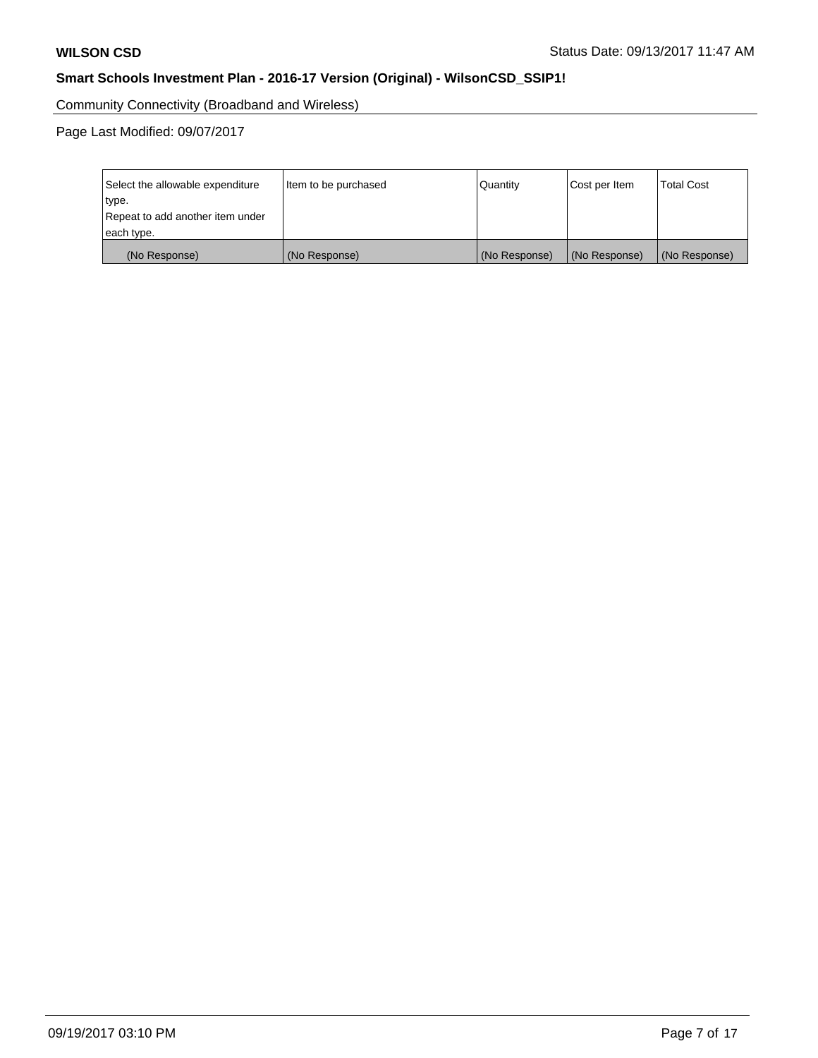Community Connectivity (Broadband and Wireless)

Page Last Modified: 09/07/2017

| Select the allowable expenditure<br>type.<br>Repeat to add another item under | Item to be purchased | Quantity      | Cost per Item | <b>Total Cost</b> |
|-------------------------------------------------------------------------------|----------------------|---------------|---------------|-------------------|
| each type.                                                                    |                      |               |               |                   |
| (No Response)                                                                 | (No Response)        | (No Response) | (No Response) | (No Response)     |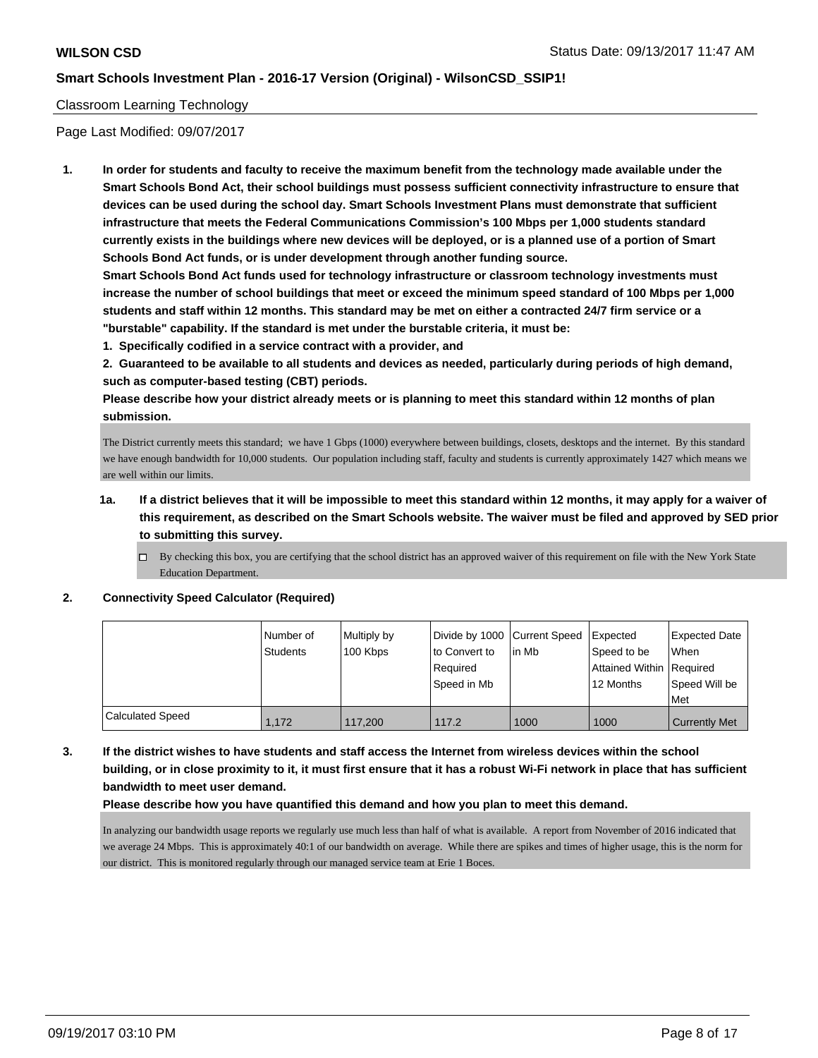### Classroom Learning Technology

Page Last Modified: 09/07/2017

**1. In order for students and faculty to receive the maximum benefit from the technology made available under the Smart Schools Bond Act, their school buildings must possess sufficient connectivity infrastructure to ensure that devices can be used during the school day. Smart Schools Investment Plans must demonstrate that sufficient infrastructure that meets the Federal Communications Commission's 100 Mbps per 1,000 students standard currently exists in the buildings where new devices will be deployed, or is a planned use of a portion of Smart Schools Bond Act funds, or is under development through another funding source.**

**Smart Schools Bond Act funds used for technology infrastructure or classroom technology investments must increase the number of school buildings that meet or exceed the minimum speed standard of 100 Mbps per 1,000 students and staff within 12 months. This standard may be met on either a contracted 24/7 firm service or a "burstable" capability. If the standard is met under the burstable criteria, it must be:**

**1. Specifically codified in a service contract with a provider, and**

**2. Guaranteed to be available to all students and devices as needed, particularly during periods of high demand, such as computer-based testing (CBT) periods.**

**Please describe how your district already meets or is planning to meet this standard within 12 months of plan submission.**

The District currently meets this standard; we have 1 Gbps (1000) everywhere between buildings, closets, desktops and the internet. By this standard we have enough bandwidth for 10,000 students. Our population including staff, faculty and students is currently approximately 1427 which means we are well within our limits.

## **1a. If a district believes that it will be impossible to meet this standard within 12 months, it may apply for a waiver of this requirement, as described on the Smart Schools website. The waiver must be filed and approved by SED prior to submitting this survey.**

 $\Box$  By checking this box, you are certifying that the school district has an approved waiver of this requirement on file with the New York State Education Department.

#### **2. Connectivity Speed Calculator (Required)**

|                         | I Number of<br>Students | Multiply by<br>100 Kbps | to Convert to<br>Required<br>Speed in Mb | Divide by 1000 Current Speed Expected<br>l in Mb | Speed to be<br>Attained Within Required<br>12 Months | Expected Date<br>When<br>Speed Will be<br>Met |
|-------------------------|-------------------------|-------------------------|------------------------------------------|--------------------------------------------------|------------------------------------------------------|-----------------------------------------------|
| <b>Calculated Speed</b> | 1.172                   | 117.200                 | 117.2                                    | 1000                                             | 1000                                                 | <b>Currently Met</b>                          |

**3. If the district wishes to have students and staff access the Internet from wireless devices within the school building, or in close proximity to it, it must first ensure that it has a robust Wi-Fi network in place that has sufficient bandwidth to meet user demand.**

#### **Please describe how you have quantified this demand and how you plan to meet this demand.**

In analyzing our bandwidth usage reports we regularly use much less than half of what is available. A report from November of 2016 indicated that we average 24 Mbps. This is approximately 40:1 of our bandwidth on average. While there are spikes and times of higher usage, this is the norm for our district. This is monitored regularly through our managed service team at Erie 1 Boces.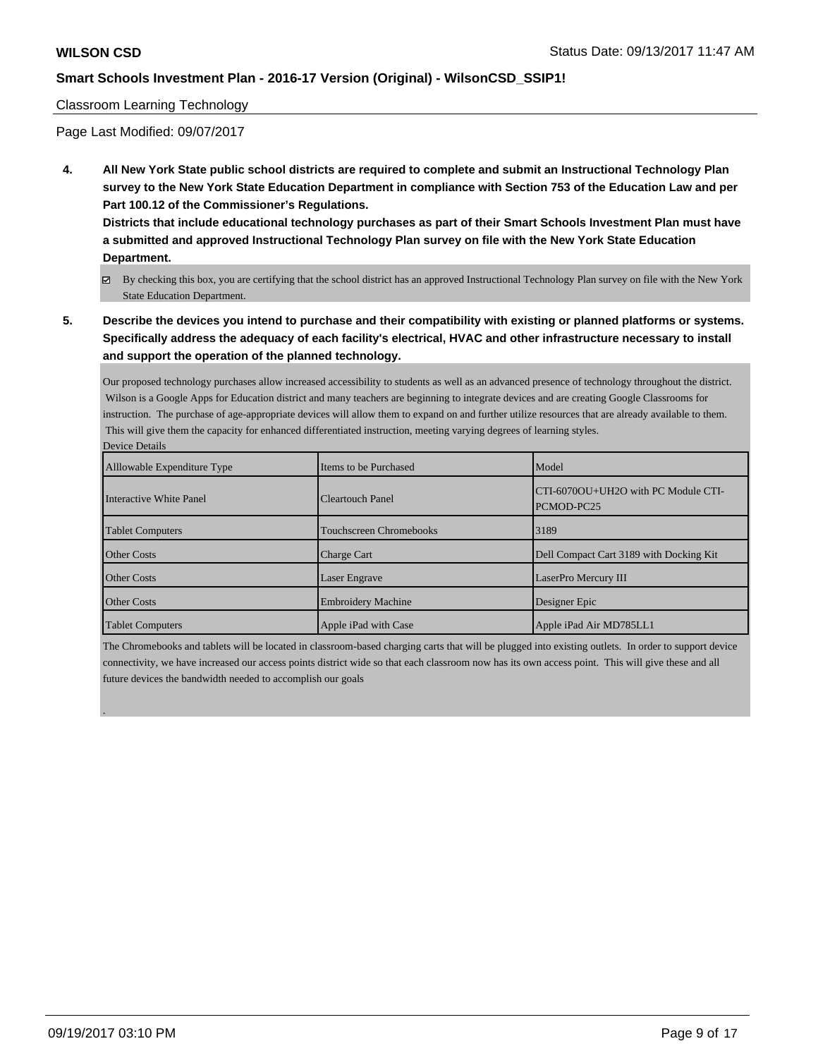#### Classroom Learning Technology

Page Last Modified: 09/07/2017

**4. All New York State public school districts are required to complete and submit an Instructional Technology Plan survey to the New York State Education Department in compliance with Section 753 of the Education Law and per Part 100.12 of the Commissioner's Regulations.**

**Districts that include educational technology purchases as part of their Smart Schools Investment Plan must have a submitted and approved Instructional Technology Plan survey on file with the New York State Education Department.**

- By checking this box, you are certifying that the school district has an approved Instructional Technology Plan survey on file with the New York State Education Department.
- **5. Describe the devices you intend to purchase and their compatibility with existing or planned platforms or systems. Specifically address the adequacy of each facility's electrical, HVAC and other infrastructure necessary to install and support the operation of the planned technology.**

Our proposed technology purchases allow increased accessibility to students as well as an advanced presence of technology throughout the district. Wilson is a Google Apps for Education district and many teachers are beginning to integrate devices and are creating Google Classrooms for instruction. The purchase of age-appropriate devices will allow them to expand on and further utilize resources that are already available to them. This will give them the capacity for enhanced differentiated instruction, meeting varying degrees of learning styles. Device Details

| Allowable Expenditure Type | Items to be Purchased          | Model                                             |
|----------------------------|--------------------------------|---------------------------------------------------|
| Interactive White Panel    | <b>Cleartouch Panel</b>        | CTI-6070OU+UH2O with PC Module CTI-<br>PCMOD-PC25 |
| <b>Tablet Computers</b>    | <b>Touchscreen Chromebooks</b> | 3189                                              |
| <b>Other Costs</b>         | <b>Charge Cart</b>             | Dell Compact Cart 3189 with Docking Kit           |
| <b>Other Costs</b>         | Laser Engrave                  | LaserPro Mercury III                              |
| <b>Other Costs</b>         | <b>Embroidery Machine</b>      | Designer Epic                                     |
| <b>Tablet Computers</b>    | Apple iPad with Case           | Apple iPad Air MD785LL1                           |

The Chromebooks and tablets will be located in classroom-based charging carts that will be plugged into existing outlets. In order to support device connectivity, we have increased our access points district wide so that each classroom now has its own access point. This will give these and all future devices the bandwidth needed to accomplish our goals

.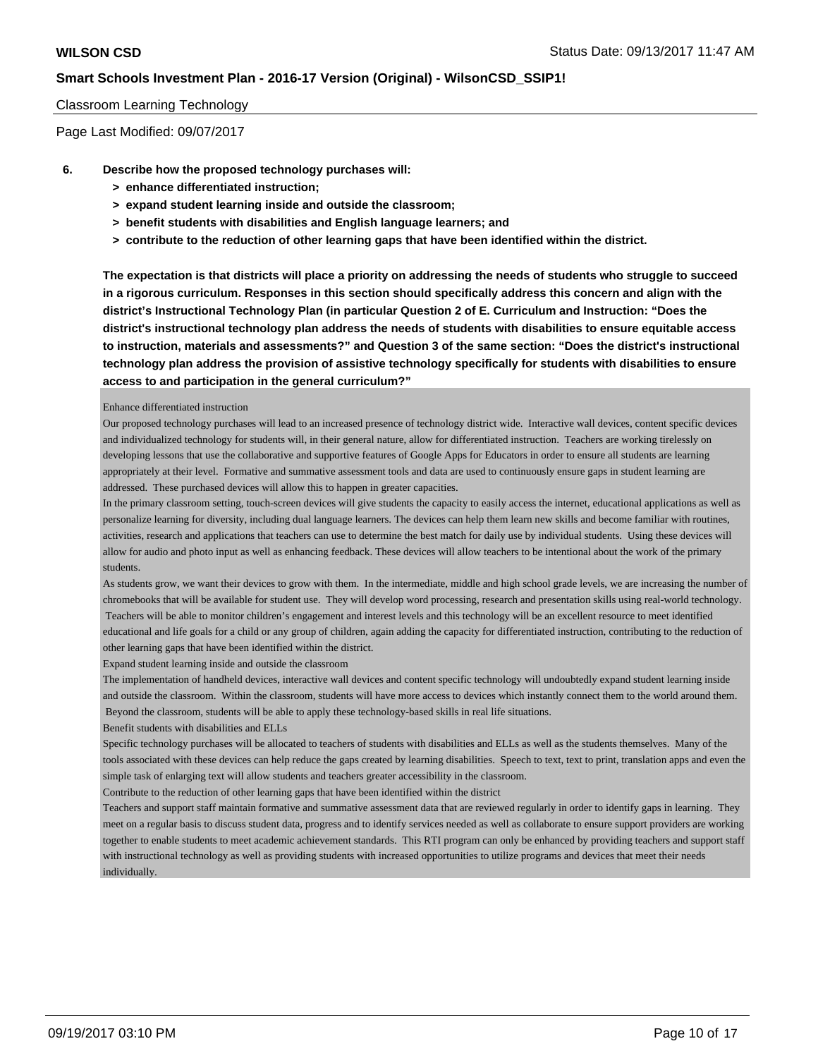#### Classroom Learning Technology

Page Last Modified: 09/07/2017

- **6. Describe how the proposed technology purchases will:**
	- **> enhance differentiated instruction;**
	- **> expand student learning inside and outside the classroom;**
	- **> benefit students with disabilities and English language learners; and**
	- **> contribute to the reduction of other learning gaps that have been identified within the district.**

**The expectation is that districts will place a priority on addressing the needs of students who struggle to succeed in a rigorous curriculum. Responses in this section should specifically address this concern and align with the district's Instructional Technology Plan (in particular Question 2 of E. Curriculum and Instruction: "Does the district's instructional technology plan address the needs of students with disabilities to ensure equitable access to instruction, materials and assessments?" and Question 3 of the same section: "Does the district's instructional technology plan address the provision of assistive technology specifically for students with disabilities to ensure access to and participation in the general curriculum?"**

#### Enhance differentiated instruction

Our proposed technology purchases will lead to an increased presence of technology district wide. Interactive wall devices, content specific devices and individualized technology for students will, in their general nature, allow for differentiated instruction. Teachers are working tirelessly on developing lessons that use the collaborative and supportive features of Google Apps for Educators in order to ensure all students are learning appropriately at their level. Formative and summative assessment tools and data are used to continuously ensure gaps in student learning are addressed. These purchased devices will allow this to happen in greater capacities.

In the primary classroom setting, touch-screen devices will give students the capacity to easily access the internet, educational applications as well as personalize learning for diversity, including dual language learners. The devices can help them learn new skills and become familiar with routines, activities, research and applications that teachers can use to determine the best match for daily use by individual students. Using these devices will allow for audio and photo input as well as enhancing feedback. These devices will allow teachers to be intentional about the work of the primary students.

As students grow, we want their devices to grow with them. In the intermediate, middle and high school grade levels, we are increasing the number of chromebooks that will be available for student use. They will develop word processing, research and presentation skills using real-world technology. Teachers will be able to monitor children's engagement and interest levels and this technology will be an excellent resource to meet identified educational and life goals for a child or any group of children, again adding the capacity for differentiated instruction, contributing to the reduction of other learning gaps that have been identified within the district.

Expand student learning inside and outside the classroom

The implementation of handheld devices, interactive wall devices and content specific technology will undoubtedly expand student learning inside and outside the classroom. Within the classroom, students will have more access to devices which instantly connect them to the world around them. Beyond the classroom, students will be able to apply these technology-based skills in real life situations.

Benefit students with disabilities and ELLs

Specific technology purchases will be allocated to teachers of students with disabilities and ELLs as well as the students themselves. Many of the tools associated with these devices can help reduce the gaps created by learning disabilities. Speech to text, text to print, translation apps and even the simple task of enlarging text will allow students and teachers greater accessibility in the classroom.

Contribute to the reduction of other learning gaps that have been identified within the district

Teachers and support staff maintain formative and summative assessment data that are reviewed regularly in order to identify gaps in learning. They meet on a regular basis to discuss student data, progress and to identify services needed as well as collaborate to ensure support providers are working together to enable students to meet academic achievement standards. This RTI program can only be enhanced by providing teachers and support staff with instructional technology as well as providing students with increased opportunities to utilize programs and devices that meet their needs individually.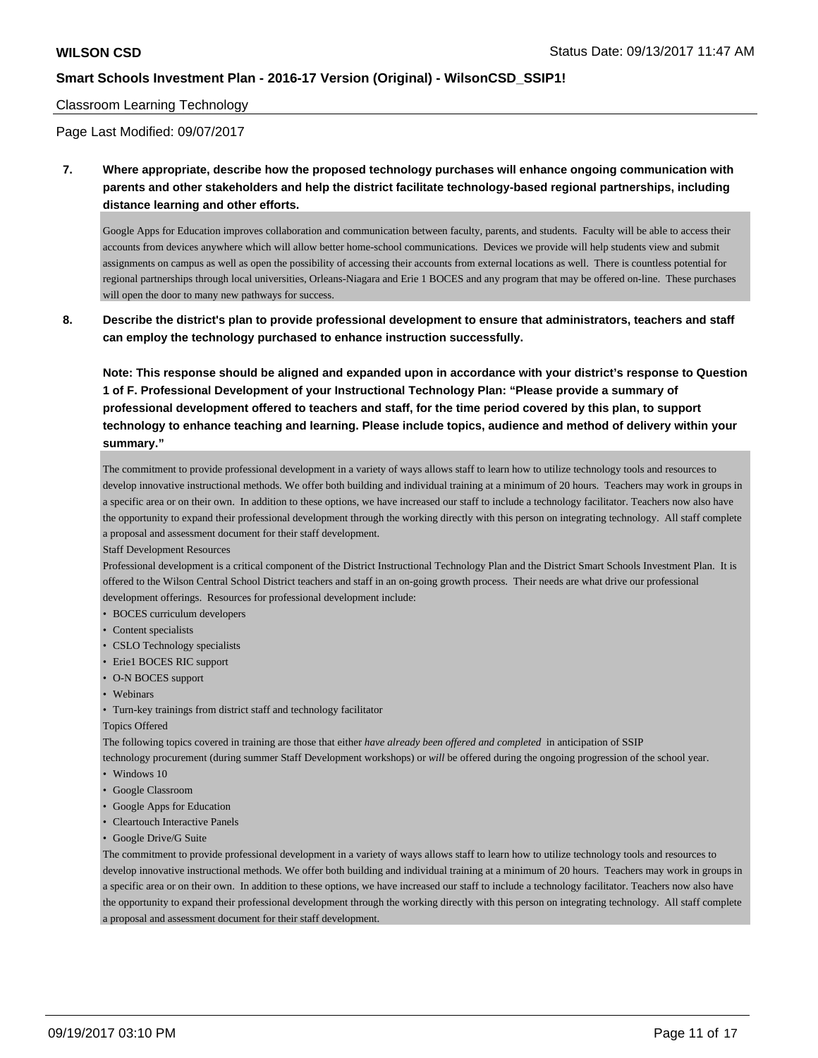#### Classroom Learning Technology

Page Last Modified: 09/07/2017

**7. Where appropriate, describe how the proposed technology purchases will enhance ongoing communication with parents and other stakeholders and help the district facilitate technology-based regional partnerships, including distance learning and other efforts.**

Google Apps for Education improves collaboration and communication between faculty, parents, and students. Faculty will be able to access their accounts from devices anywhere which will allow better home-school communications. Devices we provide will help students view and submit assignments on campus as well as open the possibility of accessing their accounts from external locations as well. There is countless potential for regional partnerships through local universities, Orleans-Niagara and Erie 1 BOCES and any program that may be offered on-line. These purchases will open the door to many new pathways for success.

**8. Describe the district's plan to provide professional development to ensure that administrators, teachers and staff can employ the technology purchased to enhance instruction successfully.**

**Note: This response should be aligned and expanded upon in accordance with your district's response to Question 1 of F. Professional Development of your Instructional Technology Plan: "Please provide a summary of professional development offered to teachers and staff, for the time period covered by this plan, to support technology to enhance teaching and learning. Please include topics, audience and method of delivery within your summary."**

The commitment to provide professional development in a variety of ways allows staff to learn how to utilize technology tools and resources to develop innovative instructional methods. We offer both building and individual training at a minimum of 20 hours. Teachers may work in groups in a specific area or on their own. In addition to these options, we have increased our staff to include a technology facilitator. Teachers now also have the opportunity to expand their professional development through the working directly with this person on integrating technology. All staff complete a proposal and assessment document for their staff development.

Staff Development Resources

Professional development is a critical component of the District Instructional Technology Plan and the District Smart Schools Investment Plan. It is offered to the Wilson Central School District teachers and staff in an on-going growth process. Their needs are what drive our professional development offerings. Resources for professional development include:

- BOCES curriculum developers
- Content specialists
- CSLO Technology specialists
- Erie1 BOCES RIC support
- O-N BOCES support
- Webinars
- Turn-key trainings from district staff and technology facilitator

#### Topics Offered

The following topics covered in training are those that either *have already been offered and completed* in anticipation of SSIP

technology procurement (during summer Staff Development workshops) or *will* be offered during the ongoing progression of the school year. • Windows 10

- 
- Google Classroom
- Google Apps for Education • Cleartouch Interactive Panels
- Google Drive/G Suite

The commitment to provide professional development in a variety of ways allows staff to learn how to utilize technology tools and resources to develop innovative instructional methods. We offer both building and individual training at a minimum of 20 hours. Teachers may work in groups in a specific area or on their own. In addition to these options, we have increased our staff to include a technology facilitator. Teachers now also have the opportunity to expand their professional development through the working directly with this person on integrating technology. All staff complete a proposal and assessment document for their staff development.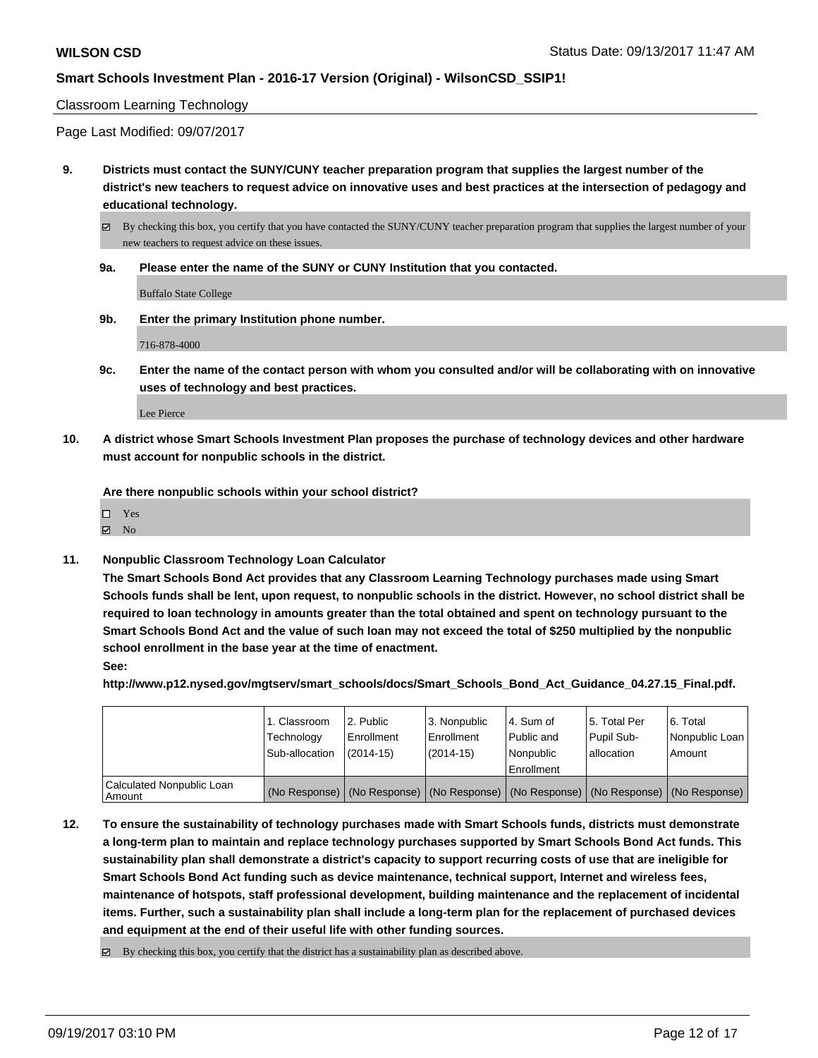#### Classroom Learning Technology

Page Last Modified: 09/07/2017

**9. Districts must contact the SUNY/CUNY teacher preparation program that supplies the largest number of the district's new teachers to request advice on innovative uses and best practices at the intersection of pedagogy and educational technology.**

By checking this box, you certify that you have contacted the SUNY/CUNY teacher preparation program that supplies the largest number of your new teachers to request advice on these issues.

**9a. Please enter the name of the SUNY or CUNY Institution that you contacted.**

Buffalo State College

**9b. Enter the primary Institution phone number.**

716-878-4000

**9c. Enter the name of the contact person with whom you consulted and/or will be collaborating with on innovative uses of technology and best practices.**

Lee Pierce

**10. A district whose Smart Schools Investment Plan proposes the purchase of technology devices and other hardware must account for nonpublic schools in the district.**

**Are there nonpublic schools within your school district?**

 $\boxtimes$  No

**11. Nonpublic Classroom Technology Loan Calculator**

**The Smart Schools Bond Act provides that any Classroom Learning Technology purchases made using Smart Schools funds shall be lent, upon request, to nonpublic schools in the district. However, no school district shall be required to loan technology in amounts greater than the total obtained and spent on technology pursuant to the Smart Schools Bond Act and the value of such loan may not exceed the total of \$250 multiplied by the nonpublic school enrollment in the base year at the time of enactment.**

**See:**

**http://www.p12.nysed.gov/mgtserv/smart\_schools/docs/Smart\_Schools\_Bond\_Act\_Guidance\_04.27.15\_Final.pdf.**

|                                     | 1. Classroom<br>Technology<br>Sub-allocation | l 2. Public<br>Enrollment<br>$(2014-15)$ | 3. Nonpublic<br>Enrollment<br>(2014-15) | l 4. Sum of<br>l Public and<br>Nonpublic<br>Enrollment | 15. Total Per<br>Pupil Sub-<br>l allocation | l 6. Total<br>Nonpublic Loan<br>Amount                                                        |
|-------------------------------------|----------------------------------------------|------------------------------------------|-----------------------------------------|--------------------------------------------------------|---------------------------------------------|-----------------------------------------------------------------------------------------------|
| Calculated Nonpublic Loan<br>Amount |                                              |                                          |                                         |                                                        |                                             | (No Response)   (No Response)   (No Response)   (No Response)   (No Response)   (No Response) |

- **12. To ensure the sustainability of technology purchases made with Smart Schools funds, districts must demonstrate a long-term plan to maintain and replace technology purchases supported by Smart Schools Bond Act funds. This sustainability plan shall demonstrate a district's capacity to support recurring costs of use that are ineligible for Smart Schools Bond Act funding such as device maintenance, technical support, Internet and wireless fees, maintenance of hotspots, staff professional development, building maintenance and the replacement of incidental items. Further, such a sustainability plan shall include a long-term plan for the replacement of purchased devices and equipment at the end of their useful life with other funding sources.**
	- $\boxtimes$  By checking this box, you certify that the district has a sustainability plan as described above.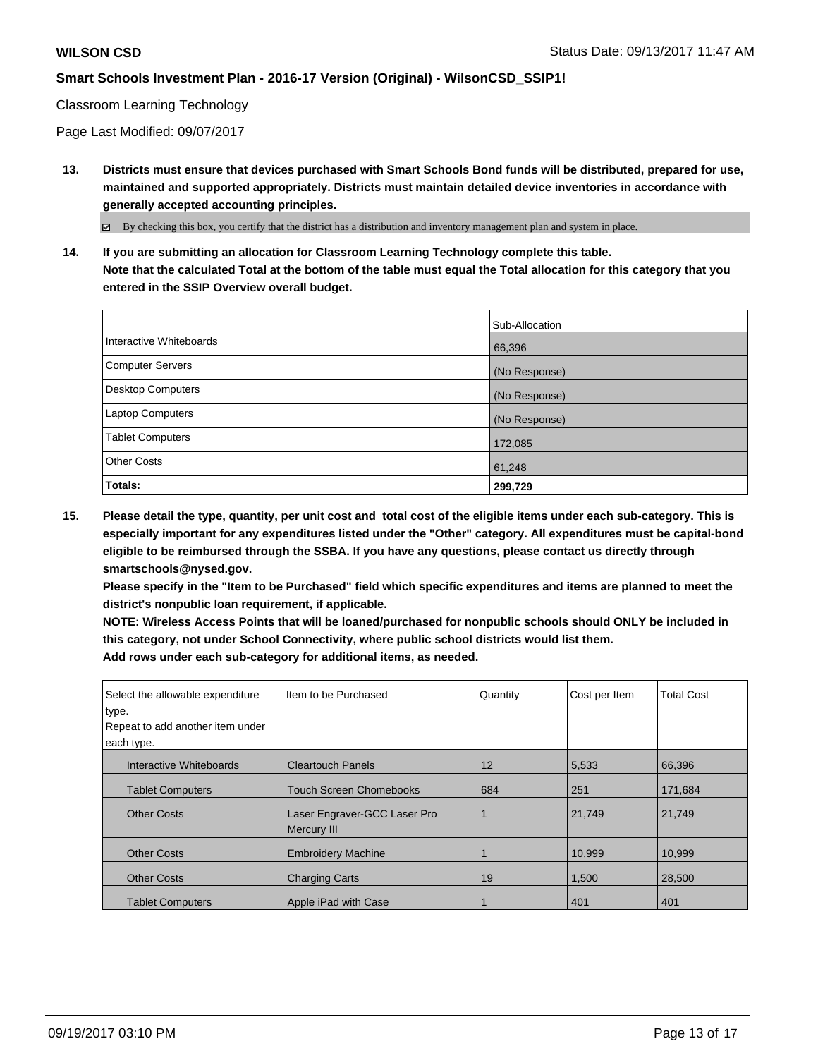### Classroom Learning Technology

Page Last Modified: 09/07/2017

**13. Districts must ensure that devices purchased with Smart Schools Bond funds will be distributed, prepared for use, maintained and supported appropriately. Districts must maintain detailed device inventories in accordance with generally accepted accounting principles.**

By checking this box, you certify that the district has a distribution and inventory management plan and system in place.

**14. If you are submitting an allocation for Classroom Learning Technology complete this table. Note that the calculated Total at the bottom of the table must equal the Total allocation for this category that you entered in the SSIP Overview overall budget.**

|                         | Sub-Allocation |
|-------------------------|----------------|
| Interactive Whiteboards | 66,396         |
| Computer Servers        | (No Response)  |
| Desktop Computers       | (No Response)  |
| Laptop Computers        | (No Response)  |
| <b>Tablet Computers</b> | 172,085        |
| <b>Other Costs</b>      | 61,248         |
| Totals:                 | 299,729        |

**15. Please detail the type, quantity, per unit cost and total cost of the eligible items under each sub-category. This is especially important for any expenditures listed under the "Other" category. All expenditures must be capital-bond eligible to be reimbursed through the SSBA. If you have any questions, please contact us directly through smartschools@nysed.gov.**

**Please specify in the "Item to be Purchased" field which specific expenditures and items are planned to meet the district's nonpublic loan requirement, if applicable.**

**NOTE: Wireless Access Points that will be loaned/purchased for nonpublic schools should ONLY be included in this category, not under School Connectivity, where public school districts would list them. Add rows under each sub-category for additional items, as needed.**

| Select the allowable expenditure<br>type. | Iltem to be Purchased                              | Quantity | Cost per Item | <b>Total Cost</b> |
|-------------------------------------------|----------------------------------------------------|----------|---------------|-------------------|
| Repeat to add another item under          |                                                    |          |               |                   |
| each type.                                |                                                    |          |               |                   |
| Interactive Whiteboards                   | <b>Cleartouch Panels</b>                           | 12       | 5,533         | 66,396            |
| <b>Tablet Computers</b>                   | <b>Touch Screen Chomebooks</b>                     | 684      | 251           | 171.684           |
| <b>Other Costs</b>                        | Laser Engraver-GCC Laser Pro<br><b>Mercury III</b> |          | 21,749        | 21,749            |
| <b>Other Costs</b>                        | <b>Embroidery Machine</b>                          |          | 10,999        | 10.999            |
| <b>Other Costs</b>                        | <b>Charging Carts</b>                              | 19       | 1,500         | 28,500            |
| <b>Tablet Computers</b>                   | Apple iPad with Case                               |          | 401           | 401               |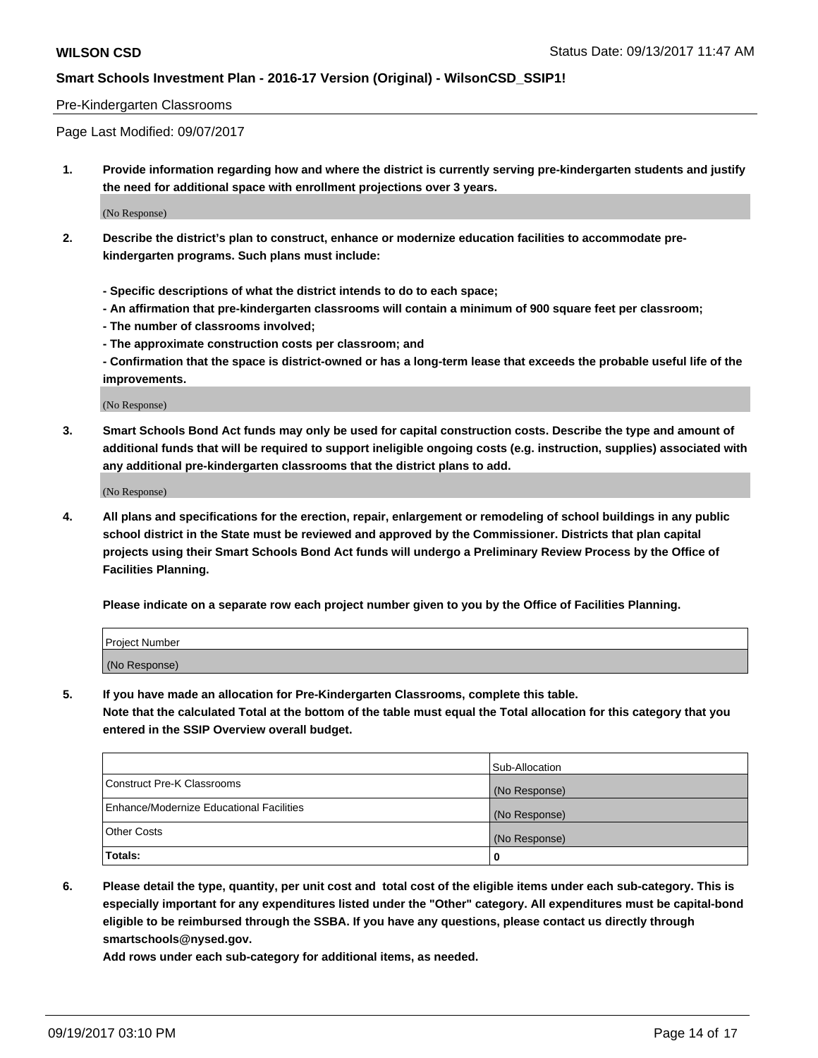#### Pre-Kindergarten Classrooms

Page Last Modified: 09/07/2017

**1. Provide information regarding how and where the district is currently serving pre-kindergarten students and justify the need for additional space with enrollment projections over 3 years.**

(No Response)

- **2. Describe the district's plan to construct, enhance or modernize education facilities to accommodate prekindergarten programs. Such plans must include:**
	- **Specific descriptions of what the district intends to do to each space;**
	- **An affirmation that pre-kindergarten classrooms will contain a minimum of 900 square feet per classroom;**
	- **The number of classrooms involved;**
	- **The approximate construction costs per classroom; and**

**- Confirmation that the space is district-owned or has a long-term lease that exceeds the probable useful life of the improvements.**

(No Response)

**3. Smart Schools Bond Act funds may only be used for capital construction costs. Describe the type and amount of additional funds that will be required to support ineligible ongoing costs (e.g. instruction, supplies) associated with any additional pre-kindergarten classrooms that the district plans to add.**

(No Response)

**4. All plans and specifications for the erection, repair, enlargement or remodeling of school buildings in any public school district in the State must be reviewed and approved by the Commissioner. Districts that plan capital projects using their Smart Schools Bond Act funds will undergo a Preliminary Review Process by the Office of Facilities Planning.**

**Please indicate on a separate row each project number given to you by the Office of Facilities Planning.**

| Project Number |  |
|----------------|--|
| (No Response)  |  |

**5. If you have made an allocation for Pre-Kindergarten Classrooms, complete this table.**

**Note that the calculated Total at the bottom of the table must equal the Total allocation for this category that you entered in the SSIP Overview overall budget.**

|                                          | Sub-Allocation |
|------------------------------------------|----------------|
| Construct Pre-K Classrooms               | (No Response)  |
| Enhance/Modernize Educational Facilities | (No Response)  |
| <b>Other Costs</b>                       | (No Response)  |
| <b>Totals:</b>                           | 0              |

**6. Please detail the type, quantity, per unit cost and total cost of the eligible items under each sub-category. This is especially important for any expenditures listed under the "Other" category. All expenditures must be capital-bond eligible to be reimbursed through the SSBA. If you have any questions, please contact us directly through smartschools@nysed.gov.**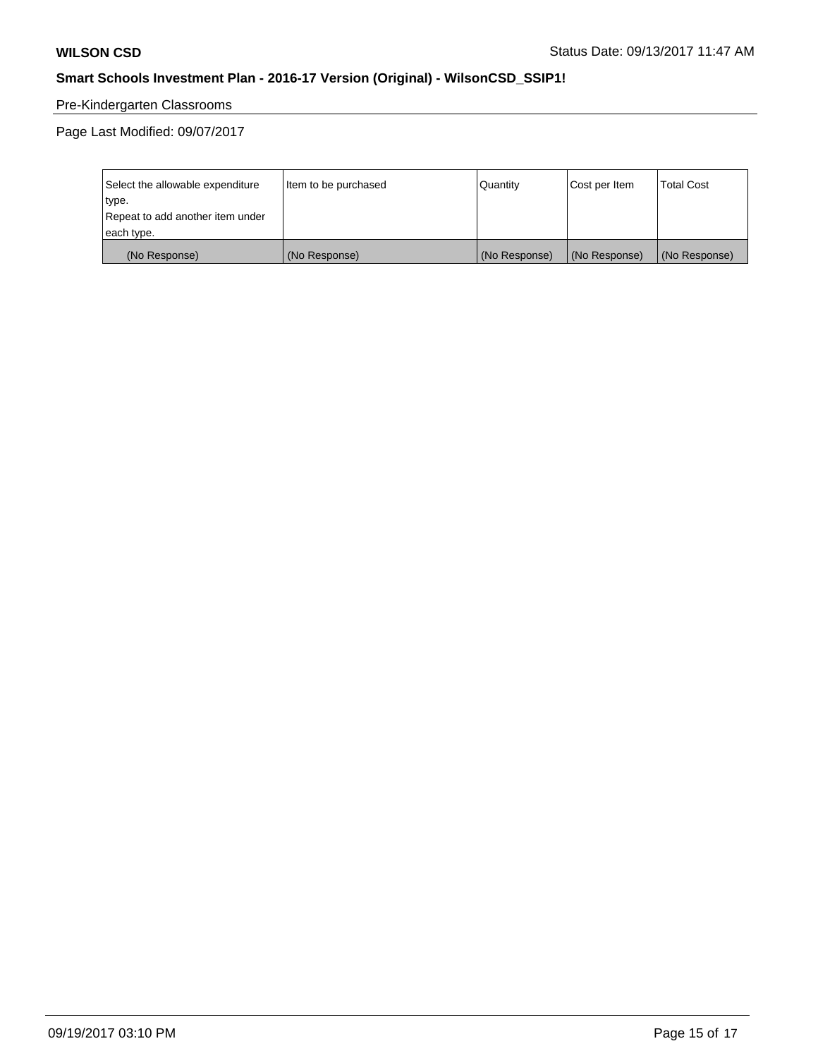## Pre-Kindergarten Classrooms

Page Last Modified: 09/07/2017

| Select the allowable expenditure | Item to be purchased | Quantity      | Cost per Item | <b>Total Cost</b> |
|----------------------------------|----------------------|---------------|---------------|-------------------|
| type.                            |                      |               |               |                   |
| Repeat to add another item under |                      |               |               |                   |
| each type.                       |                      |               |               |                   |
| (No Response)                    | (No Response)        | (No Response) | (No Response) | (No Response)     |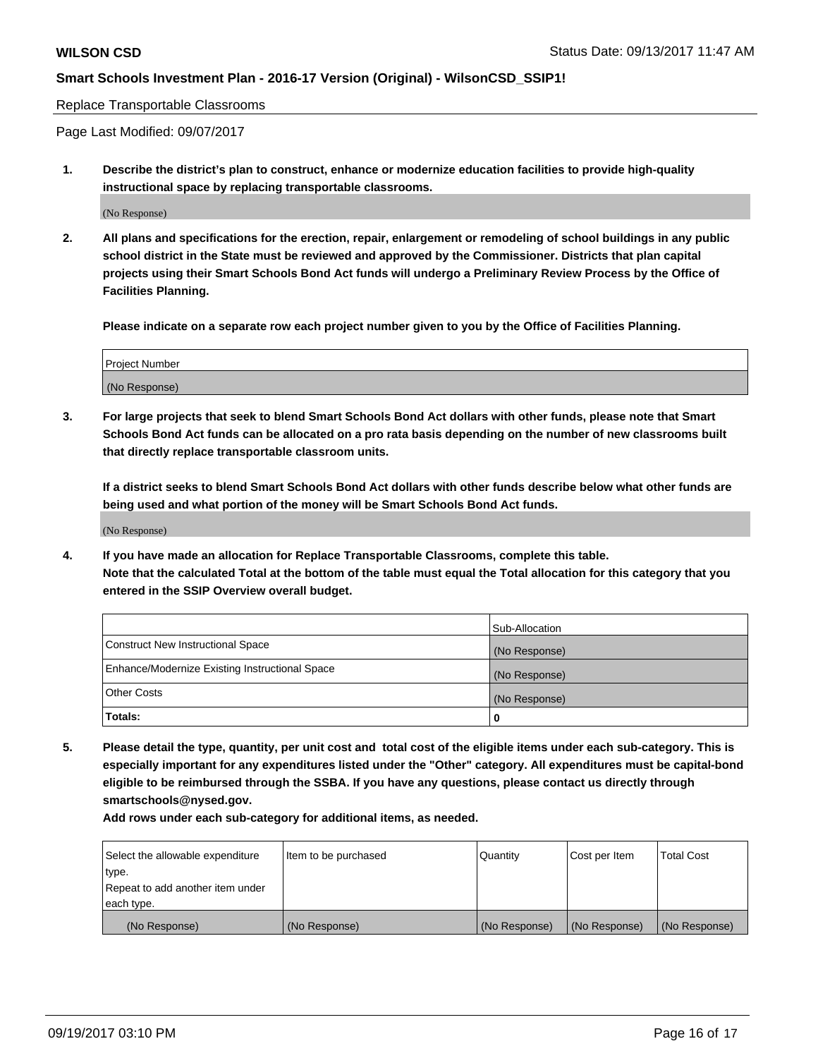#### Replace Transportable Classrooms

Page Last Modified: 09/07/2017

**1. Describe the district's plan to construct, enhance or modernize education facilities to provide high-quality instructional space by replacing transportable classrooms.**

(No Response)

**2. All plans and specifications for the erection, repair, enlargement or remodeling of school buildings in any public school district in the State must be reviewed and approved by the Commissioner. Districts that plan capital projects using their Smart Schools Bond Act funds will undergo a Preliminary Review Process by the Office of Facilities Planning.**

**Please indicate on a separate row each project number given to you by the Office of Facilities Planning.**

| <b>Project Number</b> |  |
|-----------------------|--|
| (No Response)         |  |

**3. For large projects that seek to blend Smart Schools Bond Act dollars with other funds, please note that Smart Schools Bond Act funds can be allocated on a pro rata basis depending on the number of new classrooms built that directly replace transportable classroom units.**

**If a district seeks to blend Smart Schools Bond Act dollars with other funds describe below what other funds are being used and what portion of the money will be Smart Schools Bond Act funds.**

(No Response)

**4. If you have made an allocation for Replace Transportable Classrooms, complete this table. Note that the calculated Total at the bottom of the table must equal the Total allocation for this category that you entered in the SSIP Overview overall budget.**

|                                                | Sub-Allocation |
|------------------------------------------------|----------------|
| Construct New Instructional Space              | (No Response)  |
| Enhance/Modernize Existing Instructional Space | (No Response)  |
| <b>Other Costs</b>                             | (No Response)  |
| Totals:                                        | 0              |

**5. Please detail the type, quantity, per unit cost and total cost of the eligible items under each sub-category. This is especially important for any expenditures listed under the "Other" category. All expenditures must be capital-bond eligible to be reimbursed through the SSBA. If you have any questions, please contact us directly through smartschools@nysed.gov.**

| Select the allowable expenditure | Item to be purchased | Quantity      | Cost per Item | <b>Total Cost</b> |
|----------------------------------|----------------------|---------------|---------------|-------------------|
| type.                            |                      |               |               |                   |
| Repeat to add another item under |                      |               |               |                   |
| each type.                       |                      |               |               |                   |
| (No Response)                    | (No Response)        | (No Response) | (No Response) | (No Response)     |